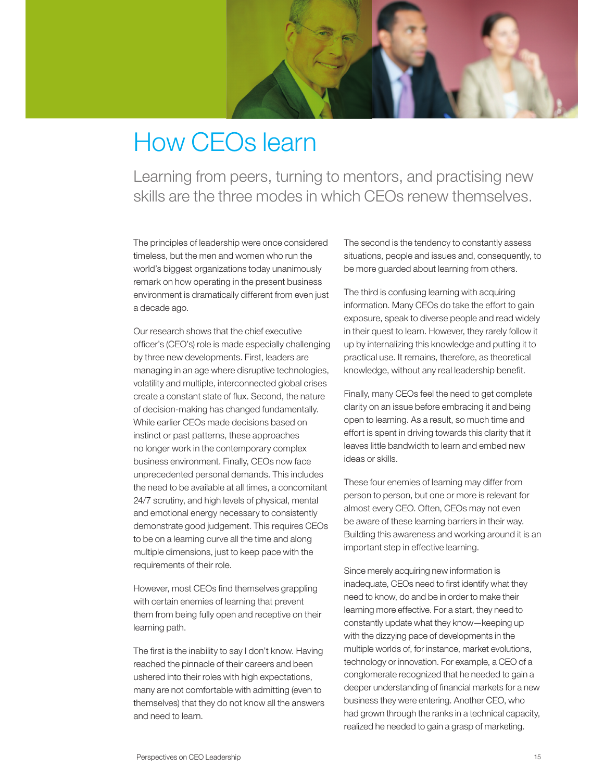

## How CEOs learn

Learning from peers, turning to mentors, and practising new skills are the three modes in which CEOs renew themselves.

The principles of leadership were once considered timeless, but the men and women who run the world's biggest organizations today unanimously remark on how operating in the present business environment is dramatically different from even just a decade ago.

Our research shows that the chief executive officer's (CEO's) role is made especially challenging by three new developments. First, leaders are managing in an age where disruptive technologies, volatility and multiple, interconnected global crises create a constant state of flux. Second, the nature of decision-making has changed fundamentally. While earlier CEOs made decisions based on instinct or past patterns, these approaches no longer work in the contemporary complex business environment. Finally, CEOs now face unprecedented personal demands. This includes the need to be available at all times, a concomitant 24/7 scrutiny, and high levels of physical, mental and emotional energy necessary to consistently demonstrate good judgement. This requires CEOs to be on a learning curve all the time and along multiple dimensions, just to keep pace with the requirements of their role.

However, most CEOs find themselves grappling with certain enemies of learning that prevent them from being fully open and receptive on their learning path.

The first is the inability to say I don't know. Having reached the pinnacle of their careers and been ushered into their roles with high expectations, many are not comfortable with admitting (even to themselves) that they do not know all the answers and need to learn.

The second is the tendency to constantly assess situations, people and issues and, consequently, to be more guarded about learning from others.

The third is confusing learning with acquiring information. Many CEOs do take the effort to gain exposure, speak to diverse people and read widely in their quest to learn. However, they rarely follow it up by internalizing this knowledge and putting it to practical use. It remains, therefore, as theoretical knowledge, without any real leadership benefit.

Finally, many CEOs feel the need to get complete clarity on an issue before embracing it and being open to learning. As a result, so much time and effort is spent in driving towards this clarity that it leaves little bandwidth to learn and embed new ideas or skills.

These four enemies of learning may differ from person to person, but one or more is relevant for almost every CEO. Often, CEOs may not even be aware of these learning barriers in their way. Building this awareness and working around it is an important step in effective learning.

Since merely acquiring new information is inadequate, CEOs need to first identify what they need to know, do and be in order to make their learning more effective. For a start, they need to constantly update what they know—keeping up with the dizzying pace of developments in the multiple worlds of, for instance, market evolutions, technology or innovation. For example, a CEO of a conglomerate recognized that he needed to gain a deeper understanding of financial markets for a new business they were entering. Another CEO, who had grown through the ranks in a technical capacity, realized he needed to gain a grasp of marketing.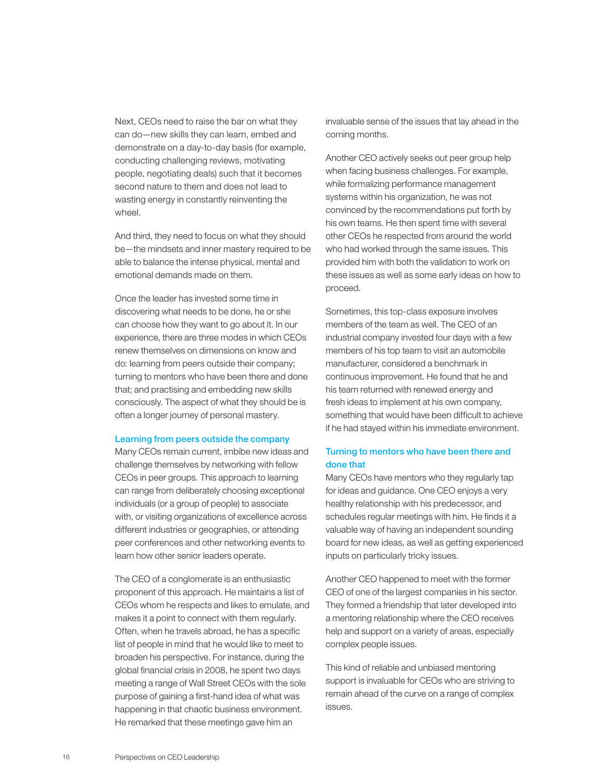Next, CEOs need to raise the bar on what they can do—new skills they can learn, embed and demonstrate on a day-to-day basis (for example, conducting challenging reviews, motivating people, negotiating deals) such that it becomes second nature to them and does not lead to wasting energy in constantly reinventing the wheel.

And third, they need to focus on what they should be—the mindsets and inner mastery required to be able to balance the intense physical, mental and emotional demands made on them.

Once the leader has invested some time in discovering what needs to be done, he or she can choose how they want to go about it. In our experience, there are three modes in which CEOs renew themselves on dimensions on know and do: learning from peers outside their company; turning to mentors who have been there and done that; and practising and embedding new skills consciously. The aspect of what they should be is often a longer journey of personal mastery.

## Learning from peers outside the company

Many CEOs remain current, imbibe new ideas and challenge themselves by networking with fellow CEOs in peer groups. This approach to learning can range from deliberately choosing exceptional individuals (or a group of people) to associate with, or visiting organizations of excellence across different industries or geographies, or attending peer conferences and other networking events to learn how other senior leaders operate.

The CEO of a conglomerate is an enthusiastic proponent of this approach. He maintains a list of CEOs whom he respects and likes to emulate, and makes it a point to connect with them regularly. Often, when he travels abroad, he has a specific list of people in mind that he would like to meet to broaden his perspective. For instance, during the global financial crisis in 2008, he spent two days meeting a range of Wall Street CEOs with the sole purpose of gaining a first-hand idea of what was happening in that chaotic business environment. He remarked that these meetings gave him an

invaluable sense of the issues that lay ahead in the coming months.

Another CEO actively seeks out peer group help when facing business challenges. For example, while formalizing performance management systems within his organization, he was not convinced by the recommendations put forth by his own teams. He then spent time with several other CEOs he respected from around the world who had worked through the same issues. This provided him with both the validation to work on these issues as well as some early ideas on how to proceed.

Sometimes, this top-class exposure involves members of the team as well. The CEO of an industrial company invested four days with a few members of his top team to visit an automobile manufacturer, considered a benchmark in continuous improvement. He found that he and his team returned with renewed energy and fresh ideas to implement at his own company, something that would have been difficult to achieve if he had stayed within his immediate environment.

## Turning to mentors who have been there and done that

Many CEOs have mentors who they regularly tap for ideas and guidance. One CEO enjoys a very healthy relationship with his predecessor, and schedules regular meetings with him. He finds it a valuable way of having an independent sounding board for new ideas, as well as getting experienced inputs on particularly tricky issues.

Another CEO happened to meet with the former CEO of one of the largest companies in his sector. They formed a friendship that later developed into a mentoring relationship where the CEO receives help and support on a variety of areas, especially complex people issues.

This kind of reliable and unbiased mentoring support is invaluable for CEOs who are striving to remain ahead of the curve on a range of complex issues.